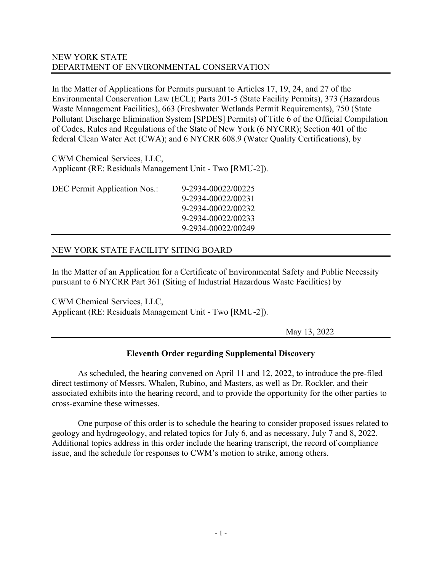## NEW YORK STATE DEPARTMENT OF ENVIRONMENTAL CONSERVATION

In the Matter of Applications for Permits pursuant to Articles 17, 19, 24, and 27 of the Environmental Conservation Law (ECL); Parts 201-5 (State Facility Permits), 373 (Hazardous Waste Management Facilities), 663 (Freshwater Wetlands Permit Requirements), 750 (State Pollutant Discharge Elimination System [SPDES] Permits) of Title 6 of the Official Compilation of Codes, Rules and Regulations of the State of New York (6 NYCRR); Section 401 of the federal Clean Water Act (CWA); and 6 NYCRR 608.9 (Water Quality Certifications), by

CWM Chemical Services, LLC, Applicant (RE: Residuals Management Unit - Two [RMU-2]).

DEC Permit Application Nos.: 9-2934-00022/00225

9-2934-00022/00231 9-2934-00022/00232 9-2934-00022/00233 9-2934-00022/00249

# NEW YORK STATE FACILITY SITING BOARD

In the Matter of an Application for a Certificate of Environmental Safety and Public Necessity pursuant to 6 NYCRR Part 361 (Siting of Industrial Hazardous Waste Facilities) by

CWM Chemical Services, LLC, Applicant (RE: Residuals Management Unit - Two [RMU-2]).

May 13, 2022

## **Eleventh Order regarding Supplemental Discovery**

As scheduled, the hearing convened on April 11 and 12, 2022, to introduce the pre-filed direct testimony of Messrs. Whalen, Rubino, and Masters, as well as Dr. Rockler, and their associated exhibits into the hearing record, and to provide the opportunity for the other parties to cross-examine these witnesses.

One purpose of this order is to schedule the hearing to consider proposed issues related to geology and hydrogeology, and related topics for July 6, and as necessary, July 7 and 8, 2022. Additional topics address in this order include the hearing transcript, the record of compliance issue, and the schedule for responses to CWM's motion to strike, among others.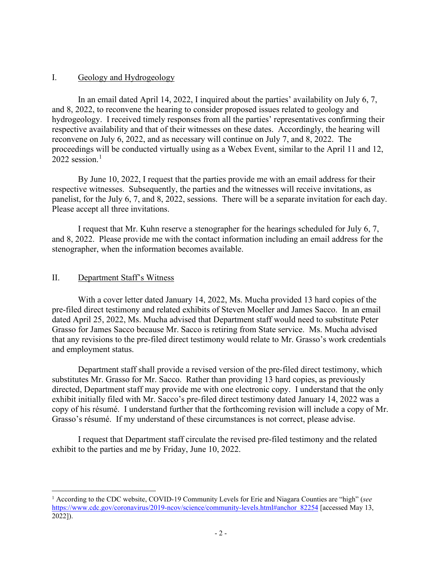### I. Geology and Hydrogeology

In an email dated April 14, 2022, I inquired about the parties' availability on July 6, 7, and 8, 2022, to reconvene the hearing to consider proposed issues related to geology and hydrogeology. I received timely responses from all the parties' representatives confirming their respective availability and that of their witnesses on these dates. Accordingly, the hearing will reconvene on July 6, 2022, and as necessary will continue on July 7, and 8, 2022. The proceedings will be conducted virtually using as a Webex Event, similar to the April 11 and 12,  $2022$  session.<sup>[1](#page-1-0)</sup>

By June 10, 2022, I request that the parties provide me with an email address for their respective witnesses. Subsequently, the parties and the witnesses will receive invitations, as panelist, for the July 6, 7, and 8, 2022, sessions. There will be a separate invitation for each day. Please accept all three invitations.

I request that Mr. Kuhn reserve a stenographer for the hearings scheduled for July 6, 7, and 8, 2022. Please provide me with the contact information including an email address for the stenographer, when the information becomes available.

#### II. Department Staff's Witness

With a cover letter dated January 14, 2022, Ms. Mucha provided 13 hard copies of the pre-filed direct testimony and related exhibits of Steven Moeller and James Sacco. In an email dated April 25, 2022, Ms. Mucha advised that Department staff would need to substitute Peter Grasso for James Sacco because Mr. Sacco is retiring from State service. Ms. Mucha advised that any revisions to the pre-filed direct testimony would relate to Mr. Grasso's work credentials and employment status.

Department staff shall provide a revised version of the pre-filed direct testimony, which substitutes Mr. Grasso for Mr. Sacco. Rather than providing 13 hard copies, as previously directed, Department staff may provide me with one electronic copy. I understand that the only exhibit initially filed with Mr. Sacco's pre-filed direct testimony dated January 14, 2022 was a copy of his résumé. I understand further that the forthcoming revision will include a copy of Mr. Grasso's résumé. If my understand of these circumstances is not correct, please advise.

I request that Department staff circulate the revised pre-filed testimony and the related exhibit to the parties and me by Friday, June 10, 2022.

<span id="page-1-0"></span><sup>1</sup> According to the CDC website, COVID-19 Community Levels for Erie and Niagara Counties are "high" (*see* [https://www.cdc.gov/coronavirus/2019-ncov/science/community-levels.html#anchor\\_82254](https://www.cdc.gov/coronavirus/2019-ncov/science/community-levels.html#anchor_82254) [accessed May 13, 2022]).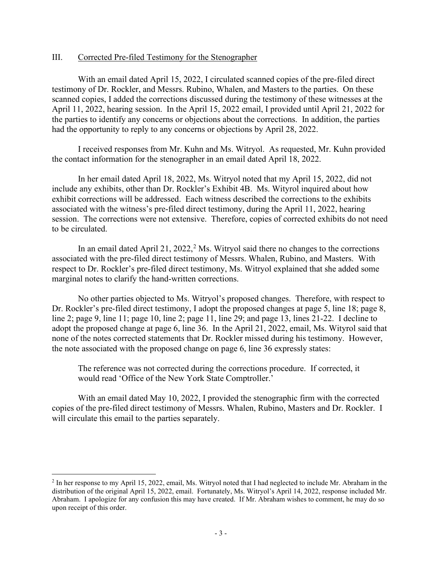### III. Corrected Pre-filed Testimony for the Stenographer

With an email dated April 15, 2022, I circulated scanned copies of the pre-filed direct testimony of Dr. Rockler, and Messrs. Rubino, Whalen, and Masters to the parties. On these scanned copies, I added the corrections discussed during the testimony of these witnesses at the April 11, 2022, hearing session. In the April 15, 2022 email, I provided until April 21, 2022 for the parties to identify any concerns or objections about the corrections. In addition, the parties had the opportunity to reply to any concerns or objections by April 28, 2022.

I received responses from Mr. Kuhn and Ms. Witryol. As requested, Mr. Kuhn provided the contact information for the stenographer in an email dated April 18, 2022.

In her email dated April 18, 2022, Ms. Witryol noted that my April 15, 2022, did not include any exhibits, other than Dr. Rockler's Exhibit 4B. Ms. Wityrol inquired about how exhibit corrections will be addressed. Each witness described the corrections to the exhibits associated with the witness's pre-filed direct testimony, during the April 11, 2022, hearing session. The corrections were not extensive. Therefore, copies of corrected exhibits do not need to be circulated.

In an email dated April [2](#page-2-0)1, 2022,<sup>2</sup> Ms. Witryol said there no changes to the corrections associated with the pre-filed direct testimony of Messrs. Whalen, Rubino, and Masters. With respect to Dr. Rockler's pre-filed direct testimony, Ms. Witryol explained that she added some marginal notes to clarify the hand-written corrections.

No other parties objected to Ms. Witryol's proposed changes. Therefore, with respect to Dr. Rockler's pre-filed direct testimony, I adopt the proposed changes at page 5, line 18; page 8, line 2; page 9, line 11; page 10, line 2; page 11, line 29; and page 13, lines 21-22. I decline to adopt the proposed change at page 6, line 36. In the April 21, 2022, email, Ms. Wityrol said that none of the notes corrected statements that Dr. Rockler missed during his testimony. However, the note associated with the proposed change on page 6, line 36 expressly states:

The reference was not corrected during the corrections procedure. If corrected, it would read 'Office of the New York State Comptroller.'

With an email dated May 10, 2022, I provided the stenographic firm with the corrected copies of the pre-filed direct testimony of Messrs. Whalen, Rubino, Masters and Dr. Rockler. I will circulate this email to the parties separately.

<span id="page-2-0"></span><sup>2</sup> In her response to my April 15, 2022, email, Ms. Witryol noted that I had neglected to include Mr. Abraham in the distribution of the original April 15, 2022, email. Fortunately, Ms. Witryol's April 14, 2022, response included Mr. Abraham. I apologize for any confusion this may have created. If Mr. Abraham wishes to comment, he may do so upon receipt of this order.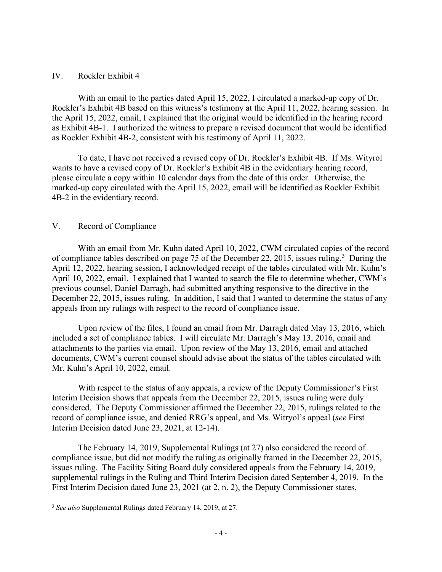### IV. Rockler Exhibit 4

With an email to the parties dated April 15, 2022, I circulated a marked-up copy of Dr. Rockler's Exhibit 4B based on this witness's testimony at the April 11, 2022, hearing session. In the April 15, 2022, email, I explained that the original would be identified in the hearing record as Exhibit 4B-1. I authorized the witness to prepare a revised document that would be identified as Rockler Exhibit 4B-2, consistent with his testimony of April 11, 2022.

To date, I have not received a revised copy of Dr. Rockler's Exhibit 4B. If Ms. Wityrol wants to have a revised copy of Dr. Rockler's Exhibit 4B in the evidentiary hearing record, please circulate a copy within 10 calendar days from the date of this order. Otherwise, the marked-up copy circulated with the April 15, 2022, email will be identified as Rockler Exhibit 4B-2 in the evidentiary record.

## V. Record of Compliance

With an email from Mr. Kuhn dated April 10, 2022, CWM circulated copies of the record of compliance tables described on page 75 of the December 22, 2015, issues ruling.<sup>[3](#page-3-0)</sup> During the April 12, 2022, hearing session, I acknowledged receipt of the tables circulated with Mr. Kuhn's April 10, 2022, email. I explained that I wanted to search the file to determine whether, CWM's previous counsel, Daniel Darragh, had submitted anything responsive to the directive in the December 22, 2015, issues ruling. In addition, I said that I wanted to determine the status of any appeals from my rulings with respect to the record of compliance issue.

Upon review of the files, I found an email from Mr. Darragh dated May 13, 2016, which included a set of compliance tables. I will circulate Mr. Darragh's May 13, 2016, email and attachments to the parties via email. Upon review of the May 13, 2016, email and attached documents, CWM's current counsel should advise about the status of the tables circulated with Mr. Kuhn's April 10, 2022, email.

With respect to the status of any appeals, a review of the Deputy Commissioner's First Interim Decision shows that appeals from the December 22, 2015, issues ruling were duly considered. The Deputy Commissioner affirmed the December 22, 2015, rulings related to the record of compliance issue, and denied RRG's appeal, and Ms. Witryol's appeal (*see* First Interim Decision dated June 23, 2021, at 12-14).

The February 14, 2019, Supplemental Rulings (at 27) also considered the record of compliance issue, but did not modify the ruling as originally framed in the December 22, 2015, issues ruling. The Facility Siting Board duly considered appeals from the February 14, 2019, supplemental rulings in the Ruling and Third Interim Decision dated September 4, 2019. In the First Interim Decision dated June 23, 2021 (at 2, n. 2), the Deputy Commissioner states,

<span id="page-3-0"></span><sup>3</sup> *See also* Supplemental Rulings dated February 14, 2019, at 27.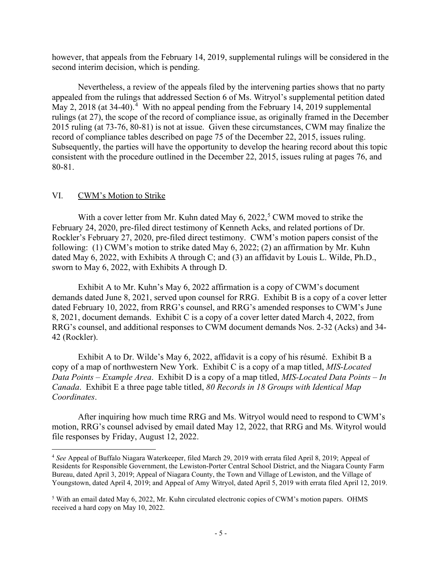however, that appeals from the February 14, 2019, supplemental rulings will be considered in the second interim decision, which is pending.

Nevertheless, a review of the appeals filed by the intervening parties shows that no party appealed from the rulings that addressed Section 6 of Ms. Witryol's supplemental petition dated May 2, 2018 (at 3[4](#page-4-0)-40).<sup>4</sup> With no appeal pending from the February 14, 2019 supplemental rulings (at 27), the scope of the record of compliance issue, as originally framed in the December 2015 ruling (at 73-76, 80-81) is not at issue. Given these circumstances, CWM may finalize the record of compliance tables described on page 75 of the December 22, 2015, issues ruling. Subsequently, the parties will have the opportunity to develop the hearing record about this topic consistent with the procedure outlined in the December 22, 2015, issues ruling at pages 76, and 80-81.

### VI. CWM's Motion to Strike

With a cover letter from Mr. Kuhn dated May  $6, 2022, 5$  $6, 2022, 5$  CWM moved to strike the February 24, 2020, pre-filed direct testimony of Kenneth Acks, and related portions of Dr. Rockler's February 27, 2020, pre-filed direct testimony. CWM's motion papers consist of the following: (1) CWM's motion to strike dated May 6, 2022; (2) an affirmation by Mr. Kuhn dated May 6, 2022, with Exhibits A through C; and (3) an affidavit by Louis L. Wilde, Ph.D., sworn to May 6, 2022, with Exhibits A through D.

Exhibit A to Mr. Kuhn's May 6, 2022 affirmation is a copy of CWM's document demands dated June 8, 2021, served upon counsel for RRG. Exhibit B is a copy of a cover letter dated February 10, 2022, from RRG's counsel, and RRG's amended responses to CWM's June 8, 2021, document demands. Exhibit C is a copy of a cover letter dated March 4, 2022, from RRG's counsel, and additional responses to CWM document demands Nos. 2-32 (Acks) and 34- 42 (Rockler).

Exhibit A to Dr. Wilde's May 6, 2022, affidavit is a copy of his résumé. Exhibit B a copy of a map of northwestern New York. Exhibit C is a copy of a map titled, *MIS-Located Data Points – Example Area*. Exhibit D is a copy of a map titled, *MIS-Located Data Points – In Canada*. Exhibit E a three page table titled, *80 Records in 18 Groups with Identical Map Coordinates*.

After inquiring how much time RRG and Ms. Witryol would need to respond to CWM's motion, RRG's counsel advised by email dated May 12, 2022, that RRG and Ms. Wityrol would file responses by Friday, August 12, 2022.

<span id="page-4-0"></span><sup>4</sup> *See* Appeal of Buffalo Niagara Waterkeeper, filed March 29, 2019 with errata filed April 8, 2019; Appeal of Residents for Responsible Government, the Lewiston-Porter Central School District, and the Niagara County Farm Bureau, dated April 3, 2019; Appeal of Niagara County, the Town and Village of Lewiston, and the Village of Youngstown, dated April 4, 2019; and Appeal of Amy Witryol, dated April 5, 2019 with errata filed April 12, 2019.

<span id="page-4-1"></span><sup>5</sup> With an email dated May 6, 2022, Mr. Kuhn circulated electronic copies of CWM's motion papers. OHMS received a hard copy on May 10, 2022.